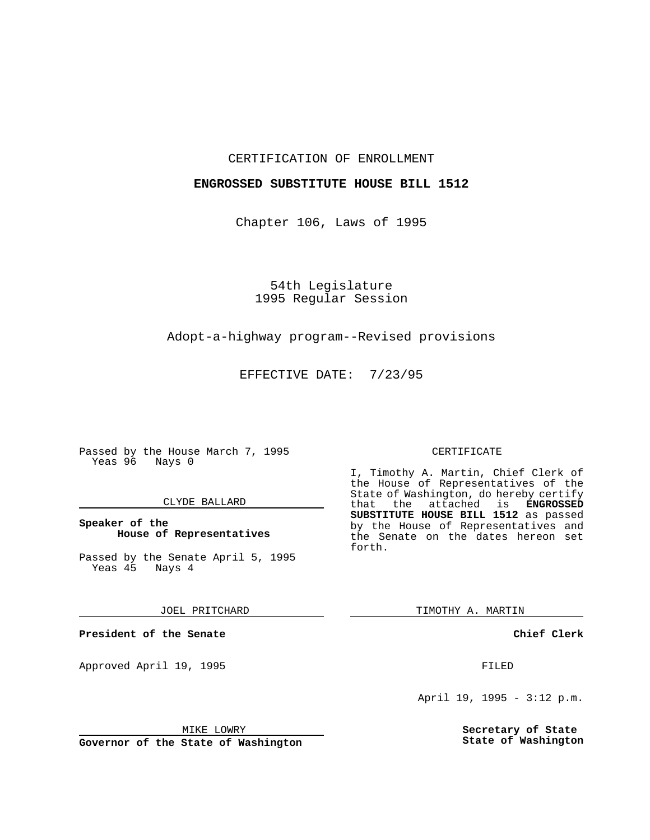## CERTIFICATION OF ENROLLMENT

## **ENGROSSED SUBSTITUTE HOUSE BILL 1512**

Chapter 106, Laws of 1995

54th Legislature 1995 Regular Session

# Adopt-a-highway program--Revised provisions

EFFECTIVE DATE: 7/23/95

Passed by the House March 7, 1995 Yeas 96 Nays 0

## CLYDE BALLARD

## **Speaker of the House of Representatives**

Passed by the Senate April 5, 1995<br>Yeas 45 Nays 4 Yeas 45

#### JOEL PRITCHARD

**President of the Senate**

Approved April 19, 1995 FILED

## MIKE LOWRY

**Governor of the State of Washington**

#### CERTIFICATE

I, Timothy A. Martin, Chief Clerk of the House of Representatives of the State of Washington, do hereby certify<br>that the attached is **ENGROSSED** the attached is **ENGROSSED SUBSTITUTE HOUSE BILL 1512** as passed by the House of Representatives and the Senate on the dates hereon set forth.

TIMOTHY A. MARTIN

## **Chief Clerk**

April 19, 1995 - 3:12 p.m.

**Secretary of State State of Washington**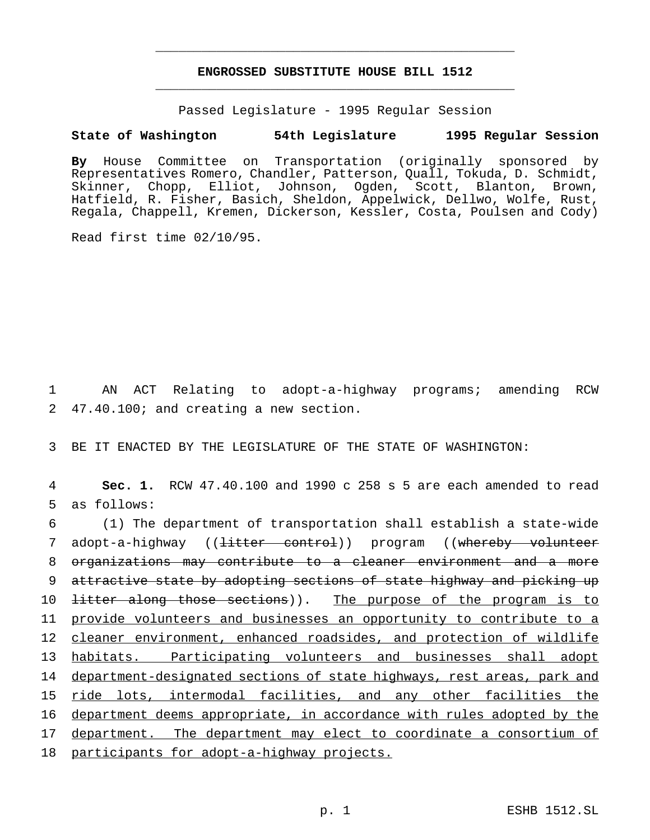# **ENGROSSED SUBSTITUTE HOUSE BILL 1512** \_\_\_\_\_\_\_\_\_\_\_\_\_\_\_\_\_\_\_\_\_\_\_\_\_\_\_\_\_\_\_\_\_\_\_\_\_\_\_\_\_\_\_\_\_\_\_

\_\_\_\_\_\_\_\_\_\_\_\_\_\_\_\_\_\_\_\_\_\_\_\_\_\_\_\_\_\_\_\_\_\_\_\_\_\_\_\_\_\_\_\_\_\_\_

Passed Legislature - 1995 Regular Session

# **State of Washington 54th Legislature 1995 Regular Session**

**By** House Committee on Transportation (originally sponsored by Representatives Romero, Chandler, Patterson, Quall, Tokuda, D. Schmidt, Skinner, Chopp, Elliot, Johnson, Ogden, Scott, Blanton, Brown, Hatfield, R. Fisher, Basich, Sheldon, Appelwick, Dellwo, Wolfe, Rust, Regala, Chappell, Kremen, Dickerson, Kessler, Costa, Poulsen and Cody)

Read first time 02/10/95.

1 AN ACT Relating to adopt-a-highway programs; amending RCW 2 47.40.100; and creating a new section.

3 BE IT ENACTED BY THE LEGISLATURE OF THE STATE OF WASHINGTON:

4 **Sec. 1.** RCW 47.40.100 and 1990 c 258 s 5 are each amended to read 5 as follows:

6 (1) The department of transportation shall establish a state-wide 7 adopt-a-highway ((<del>litter control</del>)) program ((whereby volunteer 8 organizations may contribute to a cleaner environment and a more 9 attractive state by adopting sections of state highway and picking up 10 <del>litter along those sections</del>)). The purpose of the program is to 11 provide volunteers and businesses an opportunity to contribute to a 12 cleaner environment, enhanced roadsides, and protection of wildlife 13 habitats. Participating volunteers and businesses shall adopt 14 department-designated sections of state highways, rest areas, park and 15 ride lots, intermodal facilities, and any other facilities the 16 department deems appropriate, in accordance with rules adopted by the 17 department. The department may elect to coordinate a consortium of 18 participants for adopt-a-highway projects.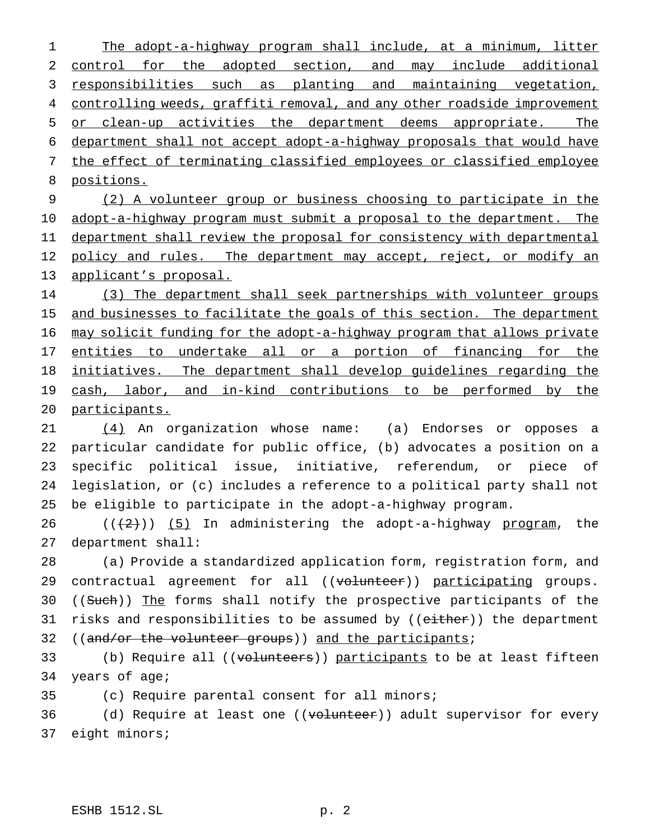The adopt-a-highway program shall include, at a minimum, litter control for the adopted section, and may include additional 3 responsibilities such as planting and maintaining vegetation, 4 controlling weeds, graffiti removal, and any other roadside improvement or clean-up activities the department deems appropriate. The department shall not accept adopt-a-highway proposals that would have the effect of terminating classified employees or classified employee positions.

9 (2) A volunteer group or business choosing to participate in the 10 adopt-a-highway program must submit a proposal to the department. The 11 department shall review the proposal for consistency with departmental 12 policy and rules. The department may accept, reject, or modify an 13 applicant's proposal.

14 (3) The department shall seek partnerships with volunteer groups 15 and businesses to facilitate the goals of this section. The department 16 may solicit funding for the adopt-a-highway program that allows private 17 entities to undertake all or a portion of financing for the 18 initiatives. The department shall develop guidelines regarding the 19 cash, labor, and in-kind contributions to be performed by the 20 participants.

21 (4) An organization whose name: (a) Endorses or opposes a particular candidate for public office, (b) advocates a position on a specific political issue, initiative, referendum, or piece of legislation, or (c) includes a reference to a political party shall not be eligible to participate in the adopt-a-highway program.

26  $((+2))$  (5) In administering the adopt-a-highway program, the 27 department shall:

28 (a) Provide a standardized application form, registration form, and 29 contractual agreement for all ((volunteer)) participating groups. 30 ((Such)) The forms shall notify the prospective participants of the 31 risks and responsibilities to be assumed by ((either)) the department 32 ((and/or the volunteer groups)) and the participants;

33 (b) Require all ((<del>volunteers</del>)) <u>participants</u> to be at least fifteen 34 years of age;

35 (c) Require parental consent for all minors;

36 (d) Require at least one ((volunteer)) adult supervisor for every 37 eight minors;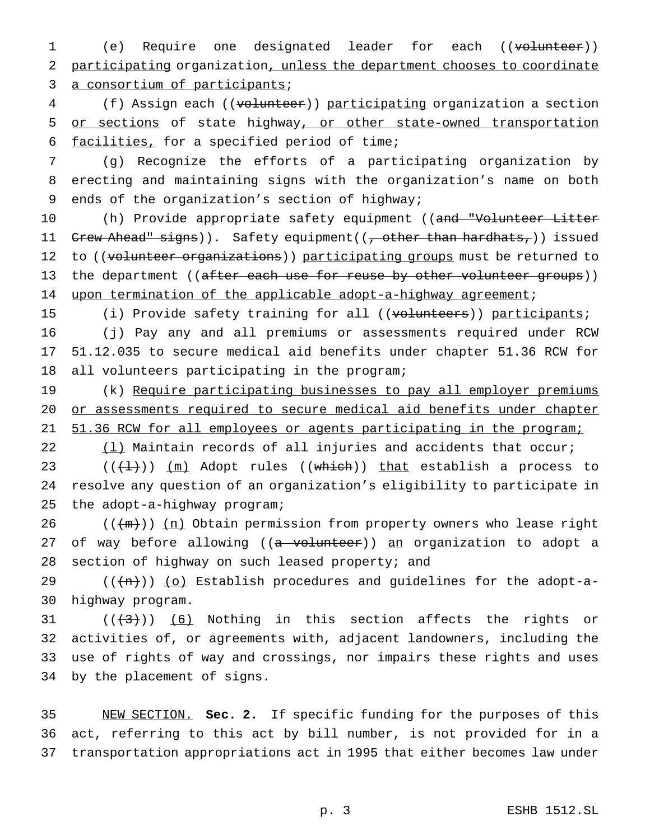1 (e) Require one designated leader for each ((volunteer)) 2 participating organization, unless the department chooses to coordinate 3 a consortium of participants;

4 (f) Assign each ((volunteer)) participating organization a section 5 or sections of state highway, or other state-owned transportation 6 facilities, for a specified period of time;

7 (g) Recognize the efforts of a participating organization by 8 erecting and maintaining signs with the organization's name on both 9 ends of the organization's section of highway;

10 (h) Provide appropriate safety equipment ((and "Volunteer Litter 11 Crew Ahead" signs)). Safety equipment((, other than hardhats,)) issued 12 to ((volunteer organizations)) participating groups must be returned to 13 the department ((after each use for reuse by other volunteer groups)) 14 upon termination of the applicable adopt-a-highway agreement;

15 (i) Provide safety training for all ((volunteers)) participants;

16 (j) Pay any and all premiums or assessments required under RCW 17 51.12.035 to secure medical aid benefits under chapter 51.36 RCW for 18 all volunteers participating in the program;

19 (k) Require participating businesses to pay all employer premiums 20 or assessments required to secure medical aid benefits under chapter 21 51.36 RCW for all employees or agents participating in the program;

22 (1) Maintain records of all injuries and accidents that occur;

23  $((+1))$  (m) Adopt rules ((which)) that establish a process to 24 resolve any question of an organization's eligibility to participate in 25 the adopt-a-highway program;

26  $((+m))$   $(n)$  Obtain permission from property owners who lease right 27 of way before allowing ((a volunteer)) an organization to adopt a 28 section of highway on such leased property; and

29  $((+h))$  (o) Establish procedures and guidelines for the adopt-a-30 highway program.

 $((+3))$  (6) Nothing in this section affects the rights or activities of, or agreements with, adjacent landowners, including the use of rights of way and crossings, nor impairs these rights and uses by the placement of signs.

35 NEW SECTION. **Sec. 2.** If specific funding for the purposes of this 36 act, referring to this act by bill number, is not provided for in a 37 transportation appropriations act in 1995 that either becomes law under